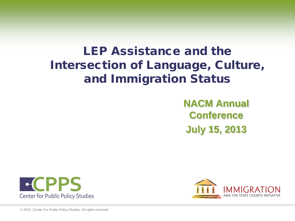# LEP Assistance and the Intersection of Language, Culture, and Immigration Status

**NACM Annual Conference July 15, 2013**





© 2012 Center For Public Policy Studies. All rights reserved.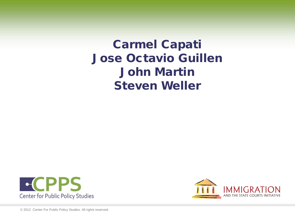# Carmel Capati Jose Octavio Guillen John Martin Steven Weller





© 2012 Center For Public Policy Studies. All rights reserved.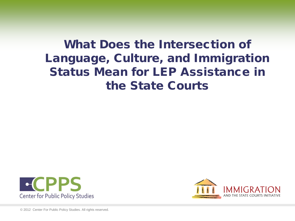# What Does the Intersection of Language, Culture, and Immigration Status Mean for LEP Assistance in the State Courts





© 2012 Center For Public Policy Studies. All rights reserved.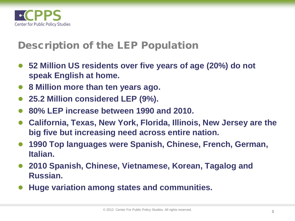

#### Description of the LEP Population

- 52 Million US residents over five years of age (20%) do not **speak English at home.**
- **8 Million more than ten years ago.**
- **25.2 Million considered LEP (9%).**
- **80% LEP increase between 1990 and 2010.**
- **California, Texas, New York, Florida, Illinois, New Jersey are the big five but increasing need across entire nation.**
- **1990 Top languages were Spanish, Chinese, French, German, Italian.**
- **2010 Spanish, Chinese, Vietnamese, Korean, Tagalog and Russian.**
- **Huge variation among states and communities.**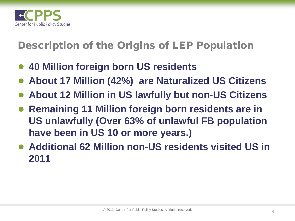

Description of the Origins of LEP Population

- **40 Million foreign born US residents**
- **About 17 Million (42%) are Naturalized US Citizens**
- **About 12 Million in US lawfully but non-US Citizens**
- **Remaining 11 Million foreign born residents are in US unlawfully (Over 63% of unlawful FB population have been in US 10 or more years.)**
- **Additional 62 Million non-US residents visited US in 2011**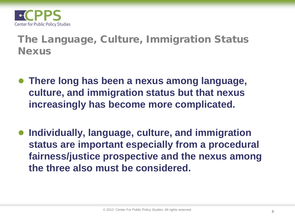

The Language, Culture, Immigration Status Nexus

- **There long has been a nexus among language, culture, and immigration status but that nexus increasingly has become more complicated.**
- **Individually, language, culture, and immigration status are important especially from a procedural fairness/justice prospective and the nexus among the three also must be considered.**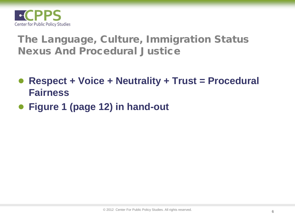

### The Language, Culture, Immigration Status Nexus And Procedural Justice

- **Respect + Voice + Neutrality + Trust = Procedural Fairness**
- **Figure 1 (page 12) in hand-out**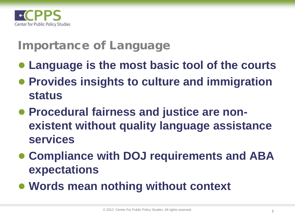

# Importance of Language

- **Language is the most basic tool of the courts**
- **Provides insights to culture and immigration status**
- **Procedural fairness and justice are nonexistent without quality language assistance services**
- **Compliance with DOJ requirements and ABA expectations**
- **Words mean nothing without context**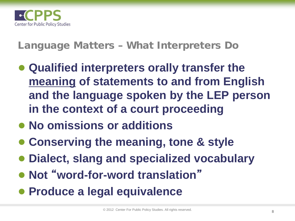

### Language Matters – What Interpreters Do

- **Qualified interpreters orally transfer the meaning of statements to and from English and the language spoken by the LEP person in the context of a court proceeding**
- **No omissions or additions**
- **Conserving the meaning, tone & style**
- **Dialect, slang and specialized vocabulary**
- **Not** "**word-for-word translation**"
- **Produce a legal equivalence**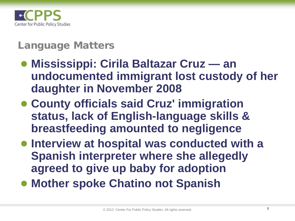

## Language Matters

- **Mississippi: Cirila Baltazar Cruz — an undocumented immigrant lost custody of her daughter in November 2008**
- **County officials said Cruz' immigration status, lack of English-language skills & breastfeeding amounted to negligence**
- **Interview at hospital was conducted with a Spanish interpreter where she allegedly agreed to give up baby for adoption**
- **Mother spoke Chatino not Spanish**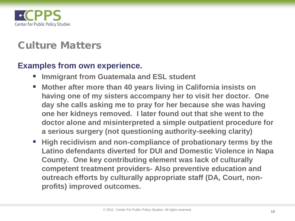

### Culture Matters

#### **Examples from own experience.**

- **Immigrant from Guatemala and ESL student**
- Mother after more than 40 years living in California insists on **having one of my sisters accompany her to visit her doctor. One day she calls asking me to pray for her because she was having one her kidneys removed. I later found out that she went to the doctor alone and misinterpreted a simple outpatient procedure for a serious surgery (not questioning authority-seeking clarity)**
- High recidivism and non-compliance of probationary terms by the **Latino defendants diverted for DUI and Domestic Violence in Napa County. One key contributing element was lack of culturally competent treatment providers- Also preventive education and outreach efforts by culturally appropriate staff (DA, Court, nonprofits) improved outcomes.**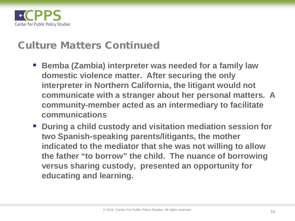

#### Culture Matters Continued

- **Bemba (Zambia) interpreter was needed for a family law domestic violence matter. After securing the only interpreter in Northern California, the litigant would not communicate with a stranger about her personal matters. A community-member acted as an intermediary to facilitate communications**
- **During a child custody and visitation mediation session for two Spanish-speaking parents/litigants, the mother indicated to the mediator that she was not willing to allow the father "to borrow" the child. The nuance of borrowing versus sharing custody, presented an opportunity for educating and learning.**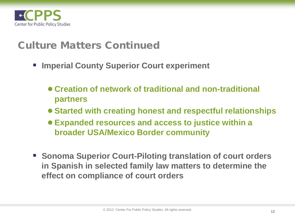

#### Culture Matters Continued

- **Imperial County Superior Court experiment**
	- **Creation of network of traditional and non-traditional partners**
	- **Started with creating honest and respectful relationships**
	- **Expanded resources and access to justice within a broader USA/Mexico Border community**
- **Example 3 Sonoma Superior Court-Piloting translation of court orders in Spanish in selected family law matters to determine the effect on compliance of court orders**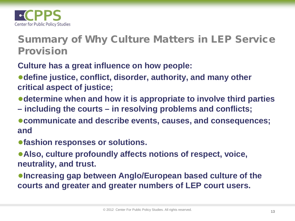

### Summary of Why Culture Matters in LEP Service Provision

- **Culture has a great influence on how people:**
- ●**define justice, conflict, disorder, authority, and many other critical aspect of justice;**
- ●**determine when and how it is appropriate to involve third parties**
- **– including the courts – in resolving problems and conflicts;**
- ●**communicate and describe events, causes, and consequences; and**
- ●**fashion responses or solutions.**
- ●**Also, culture profoundly affects notions of respect, voice, neutrality, and trust.**
- ●**Increasing gap between Anglo/European based culture of the courts and greater and greater numbers of LEP court users.**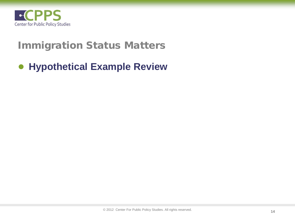

### Immigration Status Matters

### ● **Hypothetical Example Review**